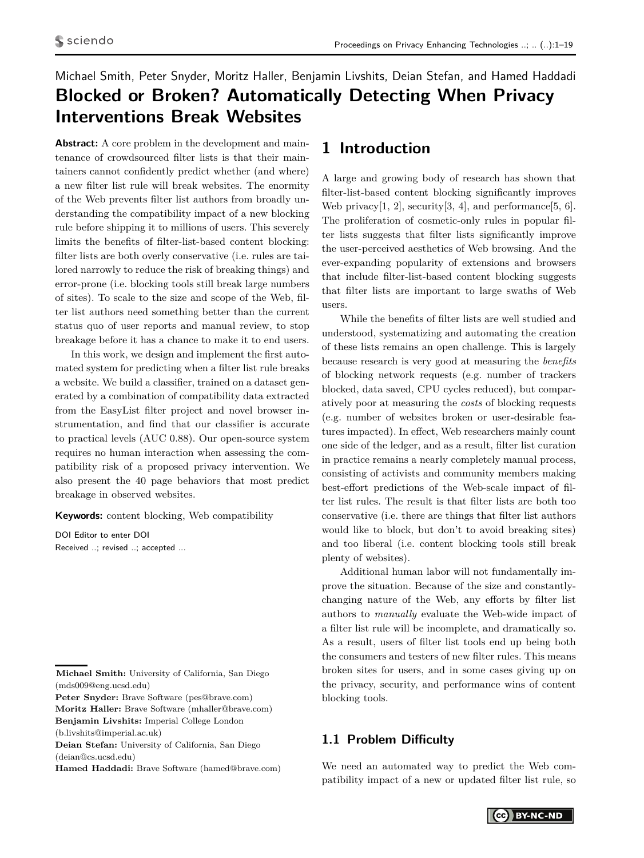# <span id="page-0-0"></span>Michael Smith, Peter Snyder, Moritz Haller, Benjamin Livshits, Deian Stefan, and Hamed Haddadi **Blocked or Broken? Automatically Detecting When Privacy Interventions Break Websites**

**Abstract:** A core problem in the development and maintenance of crowdsourced filter lists is that their maintainers cannot confidently predict whether (and where) a new filter list rule will break websites. The enormity of the Web prevents filter list authors from broadly understanding the compatibility impact of a new blocking rule before shipping it to millions of users. This severely limits the benefits of filter-list-based content blocking: filter lists are both overly conservative (i.e. rules are tailored narrowly to reduce the risk of breaking things) and error-prone (i.e. blocking tools still break large numbers of sites). To scale to the size and scope of the Web, filter list authors need something better than the current status quo of user reports and manual review, to stop breakage before it has a chance to make it to end users.

In this work, we design and implement the first automated system for predicting when a filter list rule breaks a website. We build a classifier, trained on a dataset generated by a combination of compatibility data extracted from the EasyList filter project and novel browser instrumentation, and find that our classifier is accurate to practical levels (AUC 0.88). Our open-source system requires no human interaction when assessing the compatibility risk of a proposed privacy intervention. We also present the 40 page behaviors that most predict breakage in observed websites.

**Keywords:** content blocking, Web compatibility

DOI Editor to enter DOI Received ..; revised ..; accepted ...

**Peter Snyder:** Brave Software (pes@brave.com) **Moritz Haller:** Brave Software (mhaller@brave.com)

## **1 Introduction**

A large and growing body of research has shown that filter-list-based content blocking significantly improves Web privacy $[1, 2]$  $[1, 2]$ , security $[3, 4]$  $[3, 4]$ , and performance $[5, 6]$  $[5, 6]$ . The proliferation of cosmetic-only rules in popular filter lists suggests that filter lists significantly improve the user-perceived aesthetics of Web browsing. And the ever-expanding popularity of extensions and browsers that include filter-list-based content blocking suggests that filter lists are important to large swaths of Web users.

While the benefits of filter lists are well studied and understood, systematizing and automating the creation of these lists remains an open challenge. This is largely because research is very good at measuring the *benefits* of blocking network requests (e.g. number of trackers blocked, data saved, CPU cycles reduced), but comparatively poor at measuring the *costs* of blocking requests (e.g. number of websites broken or user-desirable features impacted). In effect, Web researchers mainly count one side of the ledger, and as a result, filter list curation in practice remains a nearly completely manual process, consisting of activists and community members making best-effort predictions of the Web-scale impact of filter list rules. The result is that filter lists are both too conservative (i.e. there are things that filter list authors would like to block, but don't to avoid breaking sites) and too liberal (i.e. content blocking tools still break plenty of websites).

Additional human labor will not fundamentally improve the situation. Because of the size and constantlychanging nature of the Web, any efforts by filter list authors to *manually* evaluate the Web-wide impact of a filter list rule will be incomplete, and dramatically so. As a result, users of filter list tools end up being both the consumers and testers of new filter rules. This means broken sites for users, and in some cases giving up on the privacy, security, and performance wins of content blocking tools.

### **1.1 Problem Difficulty**

We need an automated way to predict the Web compatibility impact of a new or updated filter list rule, so

**Michael Smith:** University of California, San Diego (mds009@eng.ucsd.edu)

**Benjamin Livshits:** Imperial College London

<sup>(</sup>b.livshits@imperial.ac.uk)

**Deian Stefan:** University of California, San Diego (deian@cs.ucsd.edu)

**Hamed Haddadi:** Brave Software (hamed@brave.com)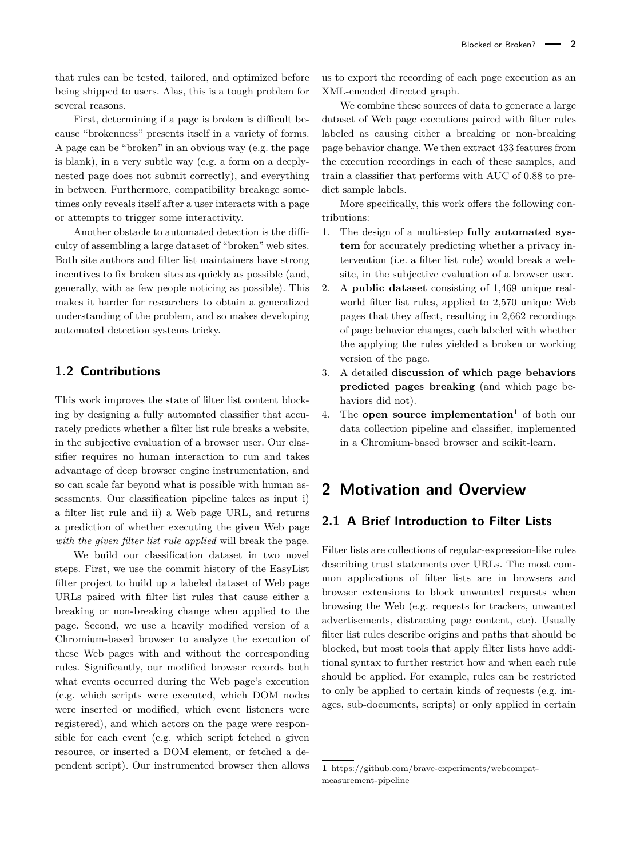that rules can be tested, tailored, and optimized before being shipped to users. Alas, this is a tough problem for several reasons.

First, determining if a page is broken is difficult because "brokenness" presents itself in a variety of forms. A page can be "broken" in an obvious way (e.g. the page is blank), in a very subtle way (e.g. a form on a deeplynested page does not submit correctly), and everything in between. Furthermore, compatibility breakage sometimes only reveals itself after a user interacts with a page or attempts to trigger some interactivity.

Another obstacle to automated detection is the difficulty of assembling a large dataset of "broken" web sites. Both site authors and filter list maintainers have strong incentives to fix broken sites as quickly as possible (and, generally, with as few people noticing as possible). This makes it harder for researchers to obtain a generalized understanding of the problem, and so makes developing automated detection systems tricky.

### **1.2 Contributions**

This work improves the state of filter list content blocking by designing a fully automated classifier that accurately predicts whether a filter list rule breaks a website, in the subjective evaluation of a browser user. Our classifier requires no human interaction to run and takes advantage of deep browser engine instrumentation, and so can scale far beyond what is possible with human assessments. Our classification pipeline takes as input i) a filter list rule and ii) a Web page URL, and returns a prediction of whether executing the given Web page *with the given filter list rule applied* will break the page.

We build our classification dataset in two novel steps. First, we use the commit history of the EasyList filter project to build up a labeled dataset of Web page URLs paired with filter list rules that cause either a breaking or non-breaking change when applied to the page. Second, we use a heavily modified version of a Chromium-based browser to analyze the execution of these Web pages with and without the corresponding rules. Significantly, our modified browser records both what events occurred during the Web page's execution (e.g. which scripts were executed, which DOM nodes were inserted or modified, which event listeners were registered), and which actors on the page were responsible for each event (e.g. which script fetched a given resource, or inserted a DOM element, or fetched a dependent script). Our instrumented browser then allows us to export the recording of each page execution as an XML-encoded directed graph.

We combine these sources of data to generate a large dataset of Web page executions paired with filter rules labeled as causing either a breaking or non-breaking page behavior change. We then extract 433 features from the execution recordings in each of these samples, and train a classifier that performs with AUC of 0.88 to predict sample labels.

More specifically, this work offers the following contributions:

- 1. The design of a multi-step **fully automated system** for accurately predicting whether a privacy intervention (i.e. a filter list rule) would break a website, in the subjective evaluation of a browser user.
- 2. A **public dataset** consisting of 1,469 unique realworld filter list rules, applied to 2,570 unique Web pages that they affect, resulting in 2,662 recordings of page behavior changes, each labeled with whether the applying the rules yielded a broken or working version of the page.
- 3. A detailed **discussion of which page behaviors predicted pages breaking** (and which page behaviors did not).
- 4. The **open source implementation**[1](#page-0-0) of both our data collection pipeline and classifier, implemented in a Chromium-based browser and scikit-learn.

## <span id="page-1-0"></span>**2 Motivation and Overview**

## **2.1 A Brief Introduction to Filter Lists**

Filter lists are collections of regular-expression-like rules describing trust statements over URLs. The most common applications of filter lists are in browsers and browser extensions to block unwanted requests when browsing the Web (e.g. requests for trackers, unwanted advertisements, distracting page content, etc). Usually filter list rules describe origins and paths that should be blocked, but most tools that apply filter lists have additional syntax to further restrict how and when each rule should be applied. For example, rules can be restricted to only be applied to certain kinds of requests (e.g. images, sub-documents, scripts) or only applied in certain

**<sup>1</sup>** [https://github.com/brave-experiments/webcompat](https://github.com/brave-experiments/webcompat-measurement-pipeline)[measurement-pipeline](https://github.com/brave-experiments/webcompat-measurement-pipeline)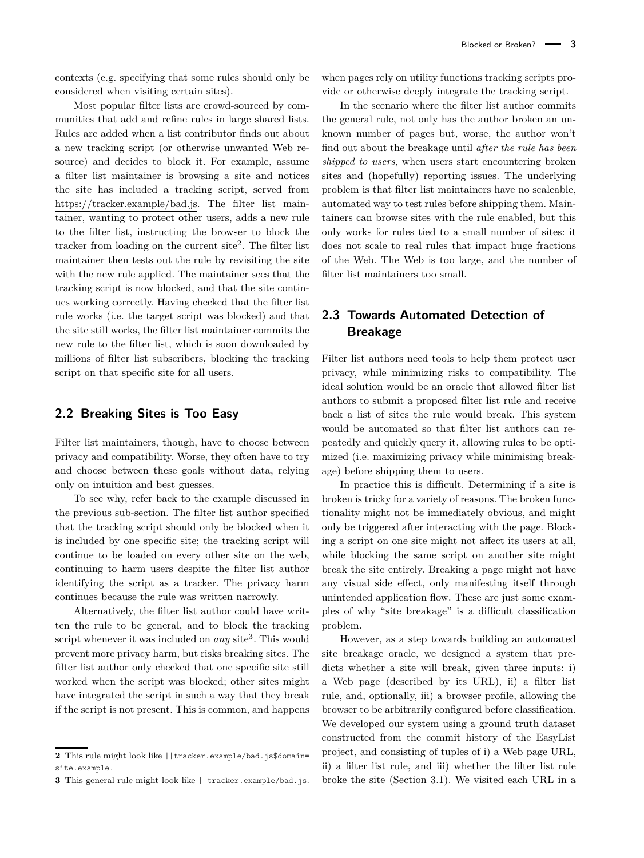contexts (e.g. specifying that some rules should only be considered when visiting certain sites).

Most popular filter lists are crowd-sourced by communities that add and refine rules in large shared lists. Rules are added when a list contributor finds out about a new tracking script (or otherwise unwanted Web resource) and decides to block it. For example, assume a filter list maintainer is browsing a site and notices the site has included a tracking script, served from https://tracker.example/bad.js. The filter list maintainer, wanting to protect other users, adds a new rule to the filter list, instructing the browser to block the tracker from loading on the current site<sup>[2](#page-0-0)</sup>. The filter list maintainer then tests out the rule by revisiting the site with the new rule applied. The maintainer sees that the tracking script is now blocked, and that the site continues working correctly. Having checked that the filter list rule works (i.e. the target script was blocked) and that the site still works, the filter list maintainer commits the new rule to the filter list, which is soon downloaded by millions of filter list subscribers, blocking the tracking script on that specific site for all users.

### **2.2 Breaking Sites is Too Easy**

Filter list maintainers, though, have to choose between privacy and compatibility. Worse, they often have to try and choose between these goals without data, relying only on intuition and best guesses.

To see why, refer back to the example discussed in the previous sub-section. The filter list author specified that the tracking script should only be blocked when it is included by one specific site; the tracking script will continue to be loaded on every other site on the web, continuing to harm users despite the filter list author identifying the script as a tracker. The privacy harm continues because the rule was written narrowly.

Alternatively, the filter list author could have written the rule to be general, and to block the tracking script whenever it was included on *any* site<sup>[3](#page-0-0)</sup>. This would prevent more privacy harm, but risks breaking sites. The filter list author only checked that one specific site still worked when the script was blocked; other sites might have integrated the script in such a way that they break if the script is not present. This is common, and happens

when pages rely on utility functions tracking scripts provide or otherwise deeply integrate the tracking script.

In the scenario where the filter list author commits the general rule, not only has the author broken an unknown number of pages but, worse, the author won't find out about the breakage until *after the rule has been shipped to users*, when users start encountering broken sites and (hopefully) reporting issues. The underlying problem is that filter list maintainers have no scaleable, automated way to test rules before shipping them. Maintainers can browse sites with the rule enabled, but this only works for rules tied to a small number of sites: it does not scale to real rules that impact huge fractions of the Web. The Web is too large, and the number of filter list maintainers too small.

## **2.3 Towards Automated Detection of Breakage**

Filter list authors need tools to help them protect user privacy, while minimizing risks to compatibility. The ideal solution would be an oracle that allowed filter list authors to submit a proposed filter list rule and receive back a list of sites the rule would break. This system would be automated so that filter list authors can repeatedly and quickly query it, allowing rules to be optimized (i.e. maximizing privacy while minimising breakage) before shipping them to users.

In practice this is difficult. Determining if a site is broken is tricky for a variety of reasons. The broken functionality might not be immediately obvious, and might only be triggered after interacting with the page. Blocking a script on one site might not affect its users at all, while blocking the same script on another site might break the site entirely. Breaking a page might not have any visual side effect, only manifesting itself through unintended application flow. These are just some examples of why "site breakage" is a difficult classification problem.

However, as a step towards building an automated site breakage oracle, we designed a system that predicts whether a site will break, given three inputs: i) a Web page (described by its URL), ii) a filter list rule, and, optionally, iii) a browser profile, allowing the browser to be arbitrarily configured before classification. We developed our system using a ground truth dataset constructed from the commit history of the EasyList project, and consisting of tuples of i) a Web page URL, ii) a filter list rule, and iii) whether the filter list rule broke the site (Section [3.1\)](#page-3-0). We visited each URL in a

**<sup>2</sup>** This rule might look like ||tracker.example/bad.js\$domain= site.example.

**<sup>3</sup>** This general rule might look like ||tracker.example/bad.js.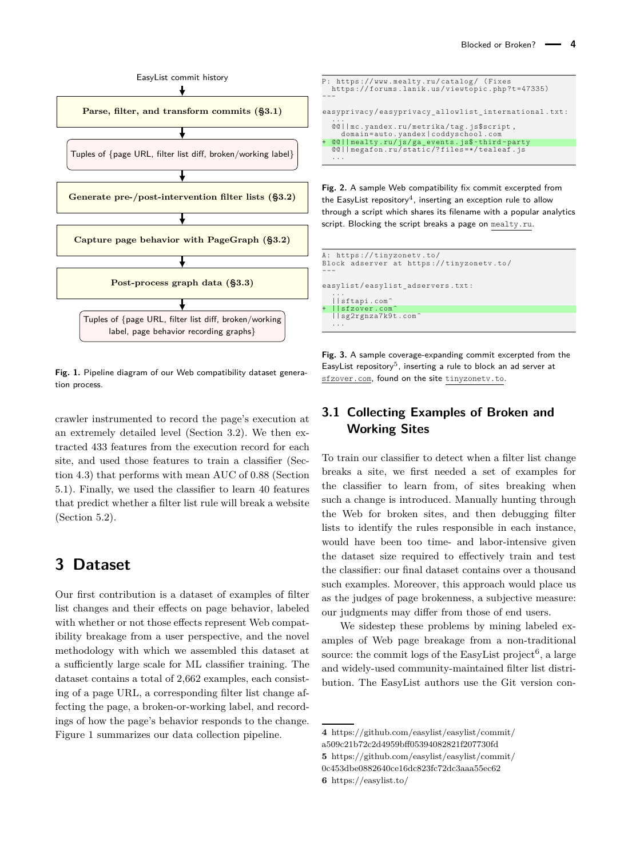<span id="page-3-1"></span>

**Fig. 1.** Pipeline diagram of our Web compatibility dataset generation process.

crawler instrumented to record the page's execution at an extremely detailed level (Section [3.2\)](#page-4-0). We then extracted 433 features from the execution record for each site, and used those features to train a classifier (Section [4.3\)](#page-7-0) that performs with mean AUC of 0.88 (Section [5.1\)](#page-8-0). Finally, we used the classifier to learn 40 features that predict whether a filter list rule will break a website (Section [5.2\)](#page-9-0).

## **3 Dataset**

Our first contribution is a dataset of examples of filter list changes and their effects on page behavior, labeled with whether or not those effects represent Web compatibility breakage from a user perspective, and the novel methodology with which we assembled this dataset at a sufficiently large scale for ML classifier training. The dataset contains a total of 2,662 examples, each consisting of a page URL, a corresponding filter list change affecting the page, a broken-or-working label, and recordings of how the page's behavior responds to the change. Figure [1](#page-3-1) summarizes our data collection pipeline.

<span id="page-3-2"></span>

**Fig. 2.** A sample Web compatibility fix commit excerpted from the EasyList repository $\rm ^4$  $\rm ^4$ , inserting an exception rule to allow through a script which shares its filename with a popular analytics script. Blocking the script breaks a page on mealty.ru.

<span id="page-3-3"></span>

**Fig. 3.** A sample coverage-expanding commit excerpted from the EasyList repository<sup>[5](#page-0-0)</sup>, inserting a rule to block an ad server at sfzover.com, found on the site tinyzonetv.to.

### <span id="page-3-0"></span>**3.1 Collecting Examples of Broken and Working Sites**

To train our classifier to detect when a filter list change breaks a site, we first needed a set of examples for the classifier to learn from, of sites breaking when such a change is introduced. Manually hunting through the Web for broken sites, and then debugging filter lists to identify the rules responsible in each instance, would have been too time- and labor-intensive given the dataset size required to effectively train and test the classifier: our final dataset contains over a thousand such examples. Moreover, this approach would place us as the judges of page brokenness, a subjective measure: our judgments may differ from those of end users.

We sidestep these problems by mining labeled examples of Web page breakage from a non-traditional source: the commit logs of the EasyList project<sup>[6](#page-0-0)</sup>, a large and widely-used community-maintained filter list distribution. The EasyList authors use the Git version con-

[0c453dbe0882640ce16dc823fc72dc3aaa55ec62](https://github.com/easylist/easylist/commit/0c453dbe0882640ce16dc823fc72dc3aaa55ec62)

**6** <https://easylist.to/>

**<sup>4</sup>** [https://github.com/easylist/easylist/commit/](https://github.com/easylist/easylist/commit/a509c21b72c2d4959bff05394082821f207730fd)

[a509c21b72c2d4959bff05394082821f207730fd](https://github.com/easylist/easylist/commit/a509c21b72c2d4959bff05394082821f207730fd)

**<sup>5</sup>** [https://github.com/easylist/easylist/commit/](https://github.com/easylist/easylist/commit/0c453dbe0882640ce16dc823fc72dc3aaa55ec62)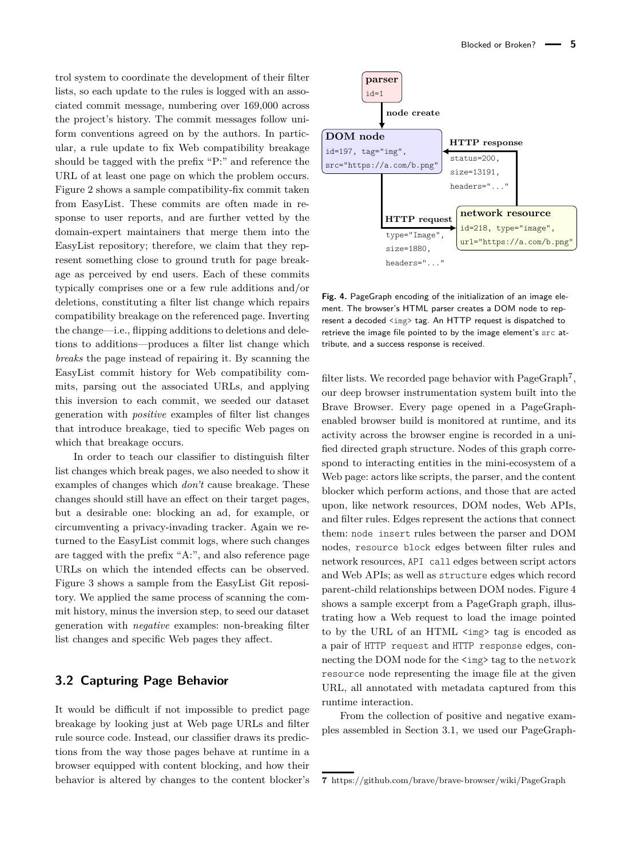trol system to coordinate the development of their filter lists, so each update to the rules is logged with an associated commit message, numbering over 169,000 across the project's history. The commit messages follow uniform conventions agreed on by the authors. In particular, a rule update to fix Web compatibility breakage should be tagged with the prefix "P:" and reference the URL of at least one page on which the problem occurs. Figure [2](#page-3-2) shows a sample compatibility-fix commit taken from EasyList. These commits are often made in response to user reports, and are further vetted by the domain-expert maintainers that merge them into the EasyList repository; therefore, we claim that they represent something close to ground truth for page breakage as perceived by end users. Each of these commits typically comprises one or a few rule additions and/or deletions, constituting a filter list change which repairs compatibility breakage on the referenced page. Inverting the change—i.e., flipping additions to deletions and deletions to additions—produces a filter list change which *breaks* the page instead of repairing it. By scanning the EasyList commit history for Web compatibility commits, parsing out the associated URLs, and applying this inversion to each commit, we seeded our dataset generation with *positive* examples of filter list changes that introduce breakage, tied to specific Web pages on which that breakage occurs.

In order to teach our classifier to distinguish filter list changes which break pages, we also needed to show it examples of changes which *don't* cause breakage. These changes should still have an effect on their target pages, but a desirable one: blocking an ad, for example, or circumventing a privacy-invading tracker. Again we returned to the EasyList commit logs, where such changes are tagged with the prefix "A:", and also reference page URLs on which the intended effects can be observed. Figure [3](#page-3-3) shows a sample from the EasyList Git repository. We applied the same process of scanning the commit history, minus the inversion step, to seed our dataset generation with *negative* examples: non-breaking filter list changes and specific Web pages they affect.

#### <span id="page-4-0"></span>**3.2 Capturing Page Behavior**

It would be difficult if not impossible to predict page breakage by looking just at Web page URLs and filter rule source code. Instead, our classifier draws its predictions from the way those pages behave at runtime in a browser equipped with content blocking, and how their behavior is altered by changes to the content blocker's

<span id="page-4-1"></span>

**Fig. 4.** PageGraph encoding of the initialization of an image element. The browser's HTML parser creates a DOM node to represent a decoded <img> tag. An HTTP request is dispatched to retrieve the image file pointed to by the image element's src attribute, and a success response is received.

filter lists. We recorded page behavior with  $PageGraph<sup>7</sup>$  $PageGraph<sup>7</sup>$  $PageGraph<sup>7</sup>$ , our deep browser instrumentation system built into the Brave Browser. Every page opened in a PageGraphenabled browser build is monitored at runtime, and its activity across the browser engine is recorded in a unified directed graph structure. Nodes of this graph correspond to interacting entities in the mini-ecosystem of a Web page: actors like scripts, the parser, and the content blocker which perform actions, and those that are acted upon, like network resources, DOM nodes, Web APIs, and filter rules. Edges represent the actions that connect them: node insert rules between the parser and DOM nodes, resource block edges between filter rules and network resources, API call edges between script actors and Web APIs; as well as structure edges which record parent-child relationships between DOM nodes. Figure [4](#page-4-1) shows a sample excerpt from a PageGraph graph, illustrating how a Web request to load the image pointed to by the URL of an HTML <img> tag is encoded as a pair of HTTP request and HTTP response edges, connecting the DOM node for the  $\langle \text{img} \rangle$  tag to the network resource node representing the image file at the given URL, all annotated with metadata captured from this runtime interaction.

From the collection of positive and negative examples assembled in Section [3.1,](#page-3-0) we used our PageGraph-

**<sup>7</sup>** <https://github.com/brave/brave-browser/wiki/PageGraph>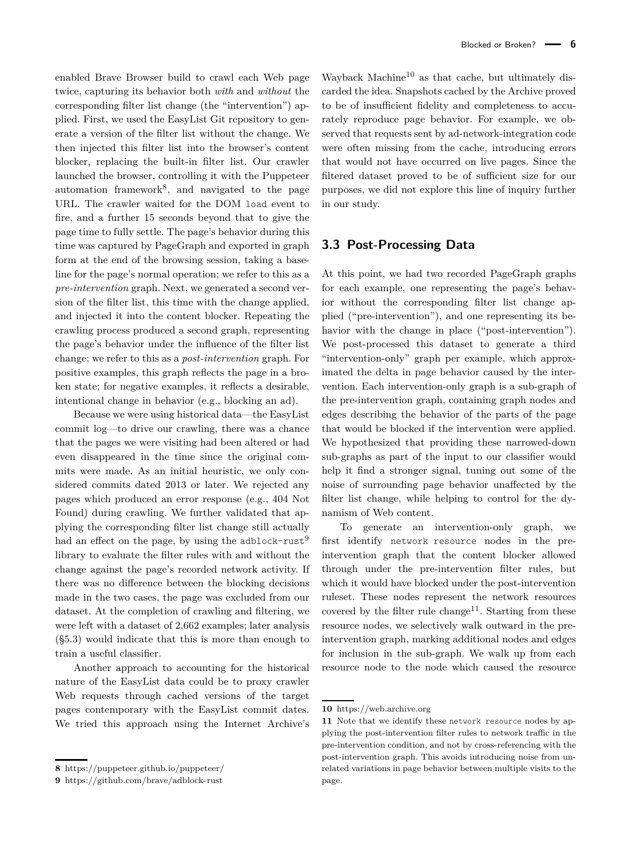enabled Brave Browser build to crawl each Web page twice, capturing its behavior both *with* and *without* the corresponding filter list change (the "intervention") applied. First, we used the EasyList Git repository to generate a version of the filter list without the change. We then injected this filter list into the browser's content blocker, replacing the built-in filter list. Our crawler launched the browser, controlling it with the Puppeteer automation framework<sup>[8](#page-0-0)</sup>, and navigated to the page URL. The crawler waited for the DOM load event to fire, and a further 15 seconds beyond that to give the page time to fully settle. The page's behavior during this time was captured by PageGraph and exported in graph form at the end of the browsing session, taking a baseline for the page's normal operation; we refer to this as a *pre-intervention* graph. Next, we generated a second version of the filter list, this time with the change applied, and injected it into the content blocker. Repeating the crawling process produced a second graph, representing the page's behavior under the influence of the filter list change; we refer to this as a *post-intervention* graph. For positive examples, this graph reflects the page in a broken state; for negative examples, it reflects a desirable, intentional change in behavior (e.g., blocking an ad).

Because we were using historical data—the EasyList commit log—to drive our crawling, there was a chance that the pages we were visiting had been altered or had even disappeared in the time since the original commits were made. As an initial heuristic, we only considered commits dated 2013 or later. We rejected any pages which produced an error response (e.g., 404 Not Found) during crawling. We further validated that applying the corresponding filter list change still actually had an effect on the page, by using the adblock-rust<sup>[9](#page-0-0)</sup> library to evaluate the filter rules with and without the change against the page's recorded network activity. If there was no difference between the blocking decisions made in the two cases, the page was excluded from our dataset. At the completion of crawling and filtering, we were left with a dataset of 2,662 examples; later analysis ([§5.3\)](#page-12-0) would indicate that this is more than enough to train a useful classifier.

Another approach to accounting for the historical nature of the EasyList data could be to proxy crawler Web requests through cached versions of the target pages contemporary with the EasyList commit dates. We tried this approach using the Internet Archive's

Wayback Machine<sup>[10](#page-0-0)</sup> as that cache, but ultimately discarded the idea. Snapshots cached by the Archive proved to be of insufficient fidelity and completeness to accurately reproduce page behavior. For example, we observed that requests sent by ad-network-integration code were often missing from the cache, introducing errors that would not have occurred on live pages. Since the filtered dataset proved to be of sufficient size for our purposes, we did not explore this line of inquiry further in our study.

#### <span id="page-5-0"></span>**3.3 Post-Processing Data**

At this point, we had two recorded PageGraph graphs for each example, one representing the page's behavior without the corresponding filter list change applied ("pre-intervention"), and one representing its behavior with the change in place ("post-intervention"). We post-processed this dataset to generate a third "intervention-only" graph per example, which approximated the delta in page behavior caused by the intervention. Each intervention-only graph is a sub-graph of the pre-intervention graph, containing graph nodes and edges describing the behavior of the parts of the page that would be blocked if the intervention were applied. We hypothesized that providing these narrowed-down sub-graphs as part of the input to our classifier would help it find a stronger signal, tuning out some of the noise of surrounding page behavior unaffected by the filter list change, while helping to control for the dynamism of Web content.

To generate an intervention-only graph, we first identify network resource nodes in the preintervention graph that the content blocker allowed through under the pre-intervention filter rules, but which it would have blocked under the post-intervention ruleset. These nodes represent the network resources covered by the filter rule change<sup>[11](#page-0-0)</sup>. Starting from these resource nodes, we selectively walk outward in the preintervention graph, marking additional nodes and edges for inclusion in the sub-graph. We walk up from each resource node to the node which caused the resource

**<sup>8</sup>** <https://puppeteer.github.io/puppeteer/>

**<sup>9</sup>** <https://github.com/brave/adblock-rust>

**<sup>10</sup>** <https://web.archive.org>

**<sup>11</sup>** Note that we identify these network resource nodes by applying the post-intervention filter rules to network traffic in the pre-intervention condition, and not by cross-referencing with the post-intervention graph. This avoids introducing noise from unrelated variations in page behavior between multiple visits to the page.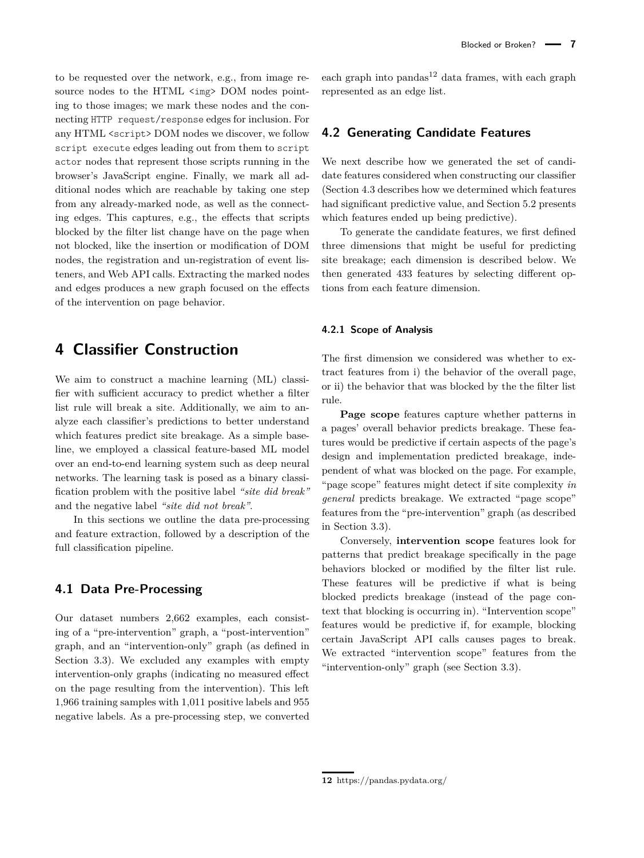to be requested over the network, e.g., from image resource nodes to the HTML  $\langle \text{img} \rangle$  DOM nodes pointing to those images; we mark these nodes and the connecting HTTP request/response edges for inclusion. For any HTML <script> DOM nodes we discover, we follow script execute edges leading out from them to script actor nodes that represent those scripts running in the browser's JavaScript engine. Finally, we mark all additional nodes which are reachable by taking one step from any already-marked node, as well as the connecting edges. This captures, e.g., the effects that scripts blocked by the filter list change have on the page when not blocked, like the insertion or modification of DOM nodes, the registration and un-registration of event listeners, and Web API calls. Extracting the marked nodes and edges produces a new graph focused on the effects

## **4 Classifier Construction**

of the intervention on page behavior.

We aim to construct a machine learning (ML) classifier with sufficient accuracy to predict whether a filter list rule will break a site. Additionally, we aim to analyze each classifier's predictions to better understand which features predict site breakage. As a simple baseline, we employed a classical feature-based ML model over an end-to-end learning system such as deep neural networks. The learning task is posed as a binary classification problem with the positive label *"site did break"* and the negative label *"site did not break"*.

In this sections we outline the data pre-processing and feature extraction, followed by a description of the full classification pipeline.

#### <span id="page-6-1"></span>**4.1 Data Pre-Processing**

Our dataset numbers 2,662 examples, each consisting of a "pre-intervention" graph, a "post-intervention" graph, and an "intervention-only" graph (as defined in Section [3.3\)](#page-5-0). We excluded any examples with empty intervention-only graphs (indicating no measured effect on the page resulting from the intervention). This left 1,966 training samples with 1,011 positive labels and 955 negative labels. As a pre-processing step, we converted

each graph into  $p$ andas<sup>[12](#page-0-0)</sup> data frames, with each graph represented as an edge list.

### **4.2 Generating Candidate Features**

We next describe how we generated the set of candidate features considered when constructing our classifier (Section [4.3](#page-7-0) describes how we determined which features had significant predictive value, and Section [5.2](#page-9-0) presents which features ended up being predictive).

To generate the candidate features, we first defined three dimensions that might be useful for predicting site breakage; each dimension is described below. We then generated 433 features by selecting different options from each feature dimension.

#### <span id="page-6-0"></span>**4.2.1 Scope of Analysis**

The first dimension we considered was whether to extract features from i) the behavior of the overall page, or ii) the behavior that was blocked by the the filter list rule.

**Page scope** features capture whether patterns in a pages' overall behavior predicts breakage. These features would be predictive if certain aspects of the page's design and implementation predicted breakage, independent of what was blocked on the page. For example, "page scope" features might detect if site complexity *in general* predicts breakage. We extracted "page scope" features from the "pre-intervention" graph (as described in Section [3.3\)](#page-5-0).

Conversely, **intervention scope** features look for patterns that predict breakage specifically in the page behaviors blocked or modified by the filter list rule. These features will be predictive if what is being blocked predicts breakage (instead of the page context that blocking is occurring in). "Intervention scope" features would be predictive if, for example, blocking certain JavaScript API calls causes pages to break. We extracted "intervention scope" features from the "intervention-only" graph (see Section [3.3\)](#page-5-0).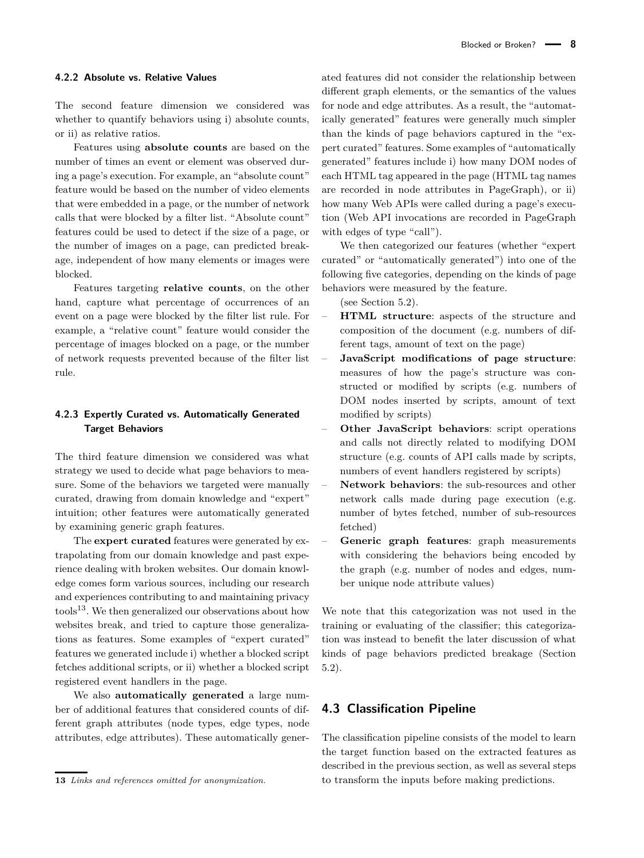#### <span id="page-7-2"></span>**4.2.2 Absolute vs. Relative Values**

The second feature dimension we considered was whether to quantify behaviors using i) absolute counts, or ii) as relative ratios.

Features using **absolute counts** are based on the number of times an event or element was observed during a page's execution. For example, an "absolute count" feature would be based on the number of video elements that were embedded in a page, or the number of network calls that were blocked by a filter list. "Absolute count" features could be used to detect if the size of a page, or the number of images on a page, can predicted breakage, independent of how many elements or images were blocked.

Features targeting **relative counts**, on the other hand, capture what percentage of occurrences of an event on a page were blocked by the filter list rule. For example, a "relative count" feature would consider the percentage of images blocked on a page, or the number of network requests prevented because of the filter list rule.

#### <span id="page-7-1"></span>**4.2.3 Expertly Curated vs. Automatically Generated Target Behaviors**

The third feature dimension we considered was what strategy we used to decide what page behaviors to measure. Some of the behaviors we targeted were manually curated, drawing from domain knowledge and "expert" intuition; other features were automatically generated by examining generic graph features.

The **expert curated** features were generated by extrapolating from our domain knowledge and past experience dealing with broken websites. Our domain knowledge comes form various sources, including our research and experiences contributing to and maintaining privacy  $\text{tools}^{13}$  $\text{tools}^{13}$  $\text{tools}^{13}$ . We then generalized our observations about how websites break, and tried to capture those generalizations as features. Some examples of "expert curated" features we generated include i) whether a blocked script fetches additional scripts, or ii) whether a blocked script registered event handlers in the page.

We also **automatically generated** a large number of additional features that considered counts of different graph attributes (node types, edge types, node attributes, edge attributes). These automatically gener-

ated features did not consider the relationship between different graph elements, or the semantics of the values for node and edge attributes. As a result, the "automatically generated" features were generally much simpler than the kinds of page behaviors captured in the "expert curated" features. Some examples of "automatically generated" features include i) how many DOM nodes of each HTML tag appeared in the page (HTML tag names are recorded in node attributes in PageGraph), or ii) how many Web APIs were called during a page's execution (Web API invocations are recorded in PageGraph with edges of type "call").

We then categorized our features (whether "expert curated" or "automatically generated") into one of the following five categories, depending on the kinds of page behaviors were measured by the feature.

(see Section [5.2\)](#page-9-0).

- **HTML structure**: aspects of the structure and composition of the document (e.g. numbers of different tags, amount of text on the page)
- **JavaScript modifications of page structure**: measures of how the page's structure was constructed or modified by scripts (e.g. numbers of DOM nodes inserted by scripts, amount of text modified by scripts)
- **Other JavaScript behaviors**: script operations and calls not directly related to modifying DOM structure (e.g. counts of API calls made by scripts, numbers of event handlers registered by scripts)
- **Network behaviors**: the sub-resources and other network calls made during page execution (e.g. number of bytes fetched, number of sub-resources fetched)
- **Generic graph features**: graph measurements with considering the behaviors being encoded by the graph (e.g. number of nodes and edges, number unique node attribute values)

We note that this categorization was not used in the training or evaluating of the classifier; this categorization was instead to benefit the later discussion of what kinds of page behaviors predicted breakage (Section [5.2\)](#page-9-0).

#### <span id="page-7-0"></span>**4.3 Classification Pipeline**

The classification pipeline consists of the model to learn the target function based on the extracted features as described in the previous section, as well as several steps to transform the inputs before making predictions.

**<sup>13</sup>** *Links and references omitted for anonymization.*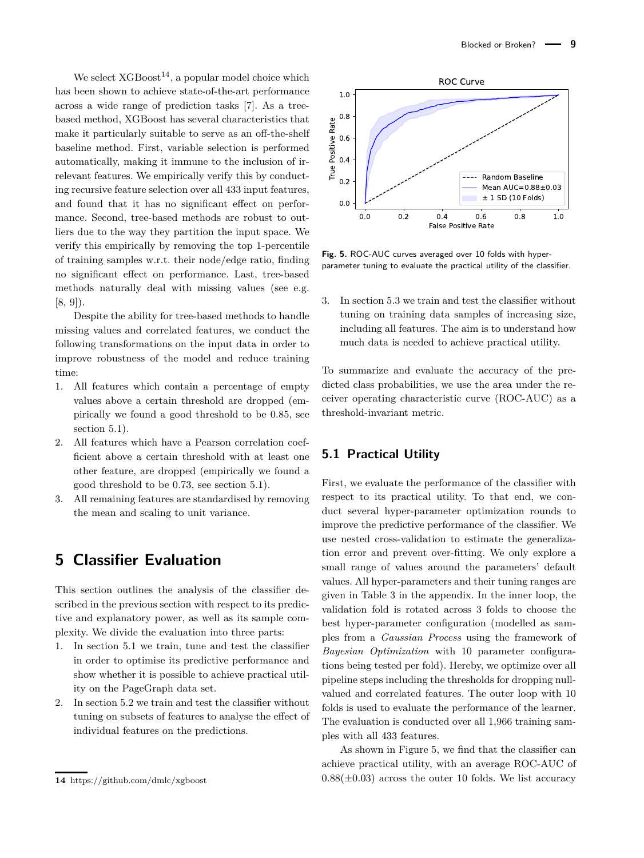Blocked or Broken? **- 9** 

We select  $XGBoost^{14}$  $XGBoost^{14}$  $XGBoost^{14}$ , a popular model choice which has been shown to achieve state-of-the-art performance across a wide range of prediction tasks [\[7\]](#page-16-6). As a treebased method, XGBoost has several characteristics that make it particularly suitable to serve as an off-the-shelf baseline method. First, variable selection is performed automatically, making it immune to the inclusion of irrelevant features. We empirically verify this by conducting recursive feature selection over all 433 input features, and found that it has no significant effect on performance. Second, tree-based methods are robust to outliers due to the way they partition the input space. We verify this empirically by removing the top 1-percentile of training samples w.r.t. their node/edge ratio, finding no significant effect on performance. Last, tree-based methods naturally deal with missing values (see e.g. [\[8,](#page-16-7) [9\]](#page-16-8)).

Despite the ability for tree-based methods to handle missing values and correlated features, we conduct the following transformations on the input data in order to improve robustness of the model and reduce training time:

- 1. All features which contain a percentage of empty values above a certain threshold are dropped (empirically we found a good threshold to be 0.85, see section [5.1\)](#page-8-0).
- 2. All features which have a Pearson correlation coefficient above a certain threshold with at least one other feature, are dropped (empirically we found a good threshold to be 0.73, see section [5.1\)](#page-8-0).
- 3. All remaining features are standardised by removing the mean and scaling to unit variance.

## **5 Classifier Evaluation**

This section outlines the analysis of the classifier described in the previous section with respect to its predictive and explanatory power, as well as its sample complexity. We divide the evaluation into three parts:

- 1. In section [5.1](#page-8-0) we train, tune and test the classifier in order to optimise its predictive performance and show whether it is possible to achieve practical utility on the PageGraph data set.
- 2. In section [5.2](#page-9-0) we train and test the classifier without tuning on subsets of features to analyse the effect of individual features on the predictions.

<span id="page-8-1"></span>

**Fig. 5.** ROC-AUC curves averaged over 10 folds with hyperparameter tuning to evaluate the practical utility of the classifier.

3. In section [5.3](#page-12-0) we train and test the classifier without tuning on training data samples of increasing size, including all features. The aim is to understand how much data is needed to achieve practical utility.

To summarize and evaluate the accuracy of the predicted class probabilities, we use the area under the receiver operating characteristic curve (ROC-AUC) as a threshold-invariant metric.

### <span id="page-8-0"></span>**5.1 Practical Utility**

First, we evaluate the performance of the classifier with respect to its practical utility. To that end, we conduct several hyper-parameter optimization rounds to improve the predictive performance of the classifier. We use nested cross-validation to estimate the generalization error and prevent over-fitting. We only explore a small range of values around the parameters' default values. All hyper-parameters and their tuning ranges are given in Table [3](#page-18-1) in the appendix. In the inner loop, the validation fold is rotated across 3 folds to choose the best hyper-parameter configuration (modelled as samples from a *Gaussian Process* using the framework of *Bayesian Optimization* with 10 parameter configurations being tested per fold). Hereby, we optimize over all pipeline steps including the thresholds for dropping nullvalued and correlated features. The outer loop with 10 folds is used to evaluate the performance of the learner. The evaluation is conducted over all 1,966 training samples with all 433 features.

As shown in Figure [5,](#page-8-1) we find that the classifier can achieve practical utility, with an average ROC-AUC of  $0.88(\pm 0.03)$  across the outer 10 folds. We list accuracy

**<sup>14</sup>** https://github.com/dmlc/xgboost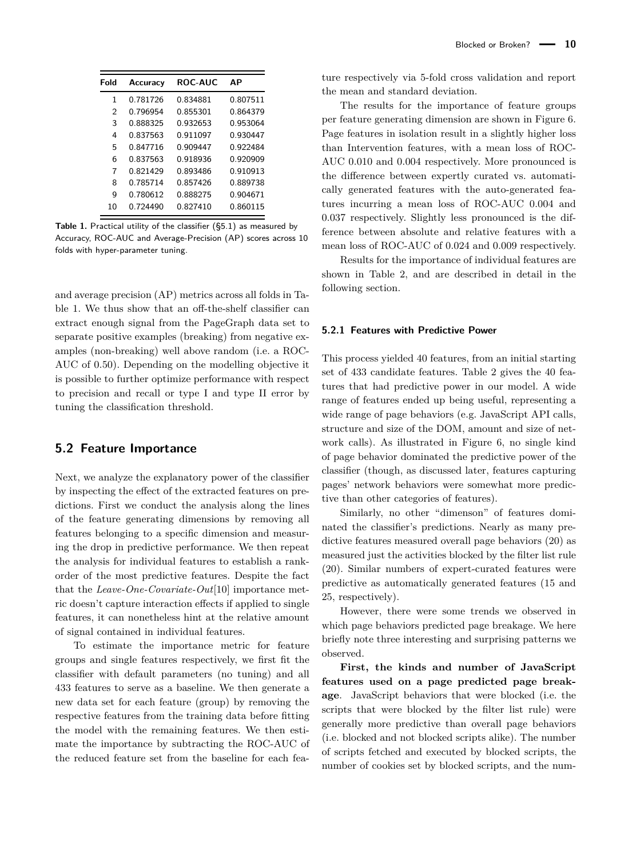<span id="page-9-1"></span>

| Fold | Accuracy | <b>ROC-AUC</b> | ΑP       |
|------|----------|----------------|----------|
| 1    | 0.781726 | 0.834881       | 0.807511 |
| 2    | 0.796954 | 0.855301       | 0.864379 |
| 3    | 0.888325 | 0.932653       | 0.953064 |
| 4    | 0837563  | 0911097        | 0.930447 |
| 5    | 0.847716 | 090447         | 0922484  |
| 6    | 0.837563 | 0.918936       | 0.920909 |
| 7    | 0.821429 | 0.893486       | 0.910913 |
| 8    | 0.785714 | 0857426        | 0.889738 |
| q    | 0.780612 | 0.888275       | 0.904671 |
| 10   | በ 72449በ | በ 827410       | 0.860115 |

Table 1. Practical utility of the classifier ([§5.1\)](#page-8-0) as measured by Accuracy, ROC-AUC and Average-Precision (AP) scores across 10 folds with hyper-parameter tuning.

and average precision (AP) metrics across all folds in Table [1.](#page-9-1) We thus show that an off-the-shelf classifier can extract enough signal from the PageGraph data set to separate positive examples (breaking) from negative examples (non-breaking) well above random (i.e. a ROC-AUC of 0.50). Depending on the modelling objective it is possible to further optimize performance with respect to precision and recall or type I and type II error by tuning the classification threshold.

#### <span id="page-9-0"></span>**5.2 Feature Importance**

Next, we analyze the explanatory power of the classifier by inspecting the effect of the extracted features on predictions. First we conduct the analysis along the lines of the feature generating dimensions by removing all features belonging to a specific dimension and measuring the drop in predictive performance. We then repeat the analysis for individual features to establish a rankorder of the most predictive features. Despite the fact that the *Leave-One-Covariate-Out*[\[10\]](#page-16-9) importance metric doesn't capture interaction effects if applied to single features, it can nonetheless hint at the relative amount of signal contained in individual features.

To estimate the importance metric for feature groups and single features respectively, we first fit the classifier with default parameters (no tuning) and all 433 features to serve as a baseline. We then generate a new data set for each feature (group) by removing the respective features from the training data before fitting the model with the remaining features. We then estimate the importance by subtracting the ROC-AUC of the reduced feature set from the baseline for each feature respectively via 5-fold cross validation and report the mean and standard deviation.

The results for the importance of feature groups per feature generating dimension are shown in Figure [6.](#page-11-0) Page features in isolation result in a slightly higher loss than Intervention features, with a mean loss of ROC-AUC 0.010 and 0.004 respectively. More pronounced is the difference between expertly curated vs. automatically generated features with the auto-generated features incurring a mean loss of ROC-AUC 0.004 and 0.037 respectively. Slightly less pronounced is the difference between absolute and relative features with a mean loss of ROC-AUC of 0.024 and 0.009 respectively.

Results for the importance of individual features are shown in Table [2,](#page-10-0) and are described in detail in the following section.

#### **5.2.1 Features with Predictive Power**

This process yielded 40 features, from an initial starting set of 433 candidate features. Table [2](#page-10-0) gives the 40 features that had predictive power in our model. A wide range of features ended up being useful, representing a wide range of page behaviors (e.g. JavaScript API calls, structure and size of the DOM, amount and size of network calls). As illustrated in Figure [6,](#page-11-0) no single kind of page behavior dominated the predictive power of the classifier (though, as discussed later, features capturing pages' network behaviors were somewhat more predictive than other categories of features).

Similarly, no other "dimenson" of features dominated the classifier's predictions. Nearly as many predictive features measured overall page behaviors (20) as measured just the activities blocked by the filter list rule (20). Similar numbers of expert-curated features were predictive as automatically generated features (15 and 25, respectively).

However, there were some trends we observed in which page behaviors predicted page breakage. We here briefly note three interesting and surprising patterns we observed.

**First, the kinds and number of JavaScript features used on a page predicted page breakage**. JavaScript behaviors that were blocked (i.e. the scripts that were blocked by the filter list rule) were generally more predictive than overall page behaviors (i.e. blocked and not blocked scripts alike). The number of scripts fetched and executed by blocked scripts, the number of cookies set by blocked scripts, and the num-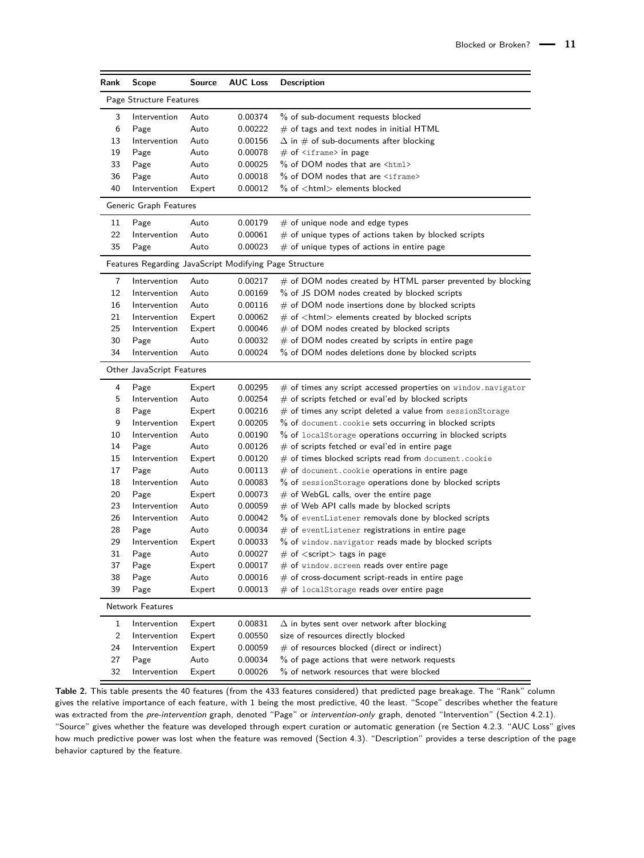<span id="page-10-0"></span>

| Rank                    | <b>Scope</b>                                           | Source | <b>AUC Loss</b> | <b>Description</b>                                                   |  |  |  |
|-------------------------|--------------------------------------------------------|--------|-----------------|----------------------------------------------------------------------|--|--|--|
| Page Structure Features |                                                        |        |                 |                                                                      |  |  |  |
| 3                       | Intervention                                           | Auto   | 0.00374         | % of sub-document requests blocked                                   |  |  |  |
| 6                       | Page                                                   | Auto   | 0.00222         | $#$ of tags and text nodes in initial $HTML$                         |  |  |  |
| 13                      | Intervention                                           | Auto   | 0.00156         | $\Delta$ in $\#$ of sub-documents after blocking                     |  |  |  |
| 19                      | Page                                                   | Auto   | 0.00078         | $#$ of $\leq$ iframe> in page                                        |  |  |  |
| 33                      | Page                                                   | Auto   | 0.00025         | % of DOM nodes that are <html></html>                                |  |  |  |
| 36                      | Page                                                   | Auto   | 0.00018         | % of DOM nodes that are <iframe></iframe>                            |  |  |  |
| 40                      | Intervention                                           | Expert | 0.00012         | $%$ of $<$ html $>$ elements blocked                                 |  |  |  |
|                         | Generic Graph Features                                 |        |                 |                                                                      |  |  |  |
| 11                      | Page                                                   | Auto   | 0.00179         | $#$ of unique node and edge types                                    |  |  |  |
| 22                      | Intervention                                           | Auto   | 0.00061         | $#$ of unique types of actions taken by blocked scripts              |  |  |  |
| 35                      | Page                                                   | Auto   | 0.00023         | $#$ of unique types of actions in entire page                        |  |  |  |
|                         | Features Regarding JavaScript Modifying Page Structure |        |                 |                                                                      |  |  |  |
| 7                       | Intervention                                           | Auto   | 0.00217         | $#$ of DOM nodes created by HTML parser prevented by blocking        |  |  |  |
| 12                      | Intervention                                           | Auto   | 0.00169         | % of JS DOM nodes created by blocked scripts                         |  |  |  |
| 16                      | Intervention                                           | Auto   | 0.00116         | $#$ of DOM node insertions done by blocked scripts                   |  |  |  |
| 21                      | Intervention                                           | Expert | 0.00062         | $#$ of $lt$ html $gt$ elements created by blocked scripts            |  |  |  |
| 25                      | Intervention                                           | Expert | 0.00046         | # of DOM nodes created by blocked scripts                            |  |  |  |
| 30                      | Page                                                   | Auto   | 0.00032         | $#$ of DOM nodes created by scripts in entire page                   |  |  |  |
| 34                      | Intervention                                           | Auto   | 0.00024         | % of DOM nodes deletions done by blocked scripts                     |  |  |  |
|                         | Other JavaScript Features                              |        |                 |                                                                      |  |  |  |
| 4                       | Page                                                   | Expert | 0.00295         | # of times any script accessed properties on window.navigator        |  |  |  |
| 5                       | Intervention                                           | Auto   | 0.00254         | $#$ of scripts fetched or eval'ed by blocked scripts                 |  |  |  |
| 8                       | Page                                                   | Expert | 0.00216         | $#$ of times any script deleted a value from sessionStorage          |  |  |  |
| 9                       | Intervention                                           | Expert | 0.00205         | % of document. cookie sets occurring in blocked scripts              |  |  |  |
| 10                      | Intervention                                           | Auto   | 0.00190         | % of localStorage operations occurring in blocked scripts            |  |  |  |
| 14                      | Page                                                   | Auto   | 0.00126         | $#$ of scripts fetched or eval'ed in entire page                     |  |  |  |
| 15                      | Intervention                                           | Expert | 0.00120         | $\#$ of times blocked scripts read from <code>document.cookie</code> |  |  |  |
| 17                      | Page                                                   | Auto   | 0.00113         | # of document. cookie operations in entire page                      |  |  |  |
| 18                      | Intervention                                           | Auto   | 0.00083         | % of sessionStorage operations done by blocked scripts               |  |  |  |
| 20                      | Page                                                   | Expert | 0.00073         | $\#$ of WebGL calls, over the entire page                            |  |  |  |
| 23                      | Intervention                                           | Auto   | 0.00059         | $#$ of Web API calls made by blocked scripts                         |  |  |  |
| 26                      | Intervention                                           | Auto   | 0.00042         | % of eventListener removals done by blocked scripts                  |  |  |  |
| 28                      | Page                                                   | Auto   | 0.00034         | $\#$ of eventListener registrations in entire page                   |  |  |  |
| 29                      | Intervention                                           | Expert | 0.00033         | % of window.navigator reads made by blocked scripts                  |  |  |  |
| 31                      | Page                                                   | Auto   | 0.00027         | $\#$ of $<$ script $>$ tags in page                                  |  |  |  |
| 37                      | Page                                                   | Expert | 0.00017         | $\#$ of window.screen reads over entire page                         |  |  |  |
| 38                      | Page                                                   | Auto   | 0.00016         | $#$ of cross-document script-reads in entire page                    |  |  |  |
| 39                      | Page                                                   | Expert | 0.00013         | $\#$ of localStorage reads over entire page                          |  |  |  |
|                         | Network Features                                       |        |                 |                                                                      |  |  |  |
| 1                       | Intervention                                           | Expert | 0.00831         | $\Delta$ in bytes sent over network after blocking                   |  |  |  |
| $\overline{c}$          | Intervention                                           | Expert | 0.00550         | size of resources directly blocked                                   |  |  |  |
| 24                      | Intervention                                           | Expert | 0.00059         | # of resources blocked (direct or indirect)                          |  |  |  |
| 27                      |                                                        |        | 0.00034         | % of page actions that were network requests                         |  |  |  |
|                         | Page<br>Intervention                                   | Auto   |                 | % of network resources that were blocked                             |  |  |  |
| 32                      |                                                        | Expert | 0.00026         |                                                                      |  |  |  |

**Table 2.** This table presents the 40 features (from the 433 features considered) that predicted page breakage. The "Rank" column gives the relative importance of each feature, with 1 being the most predictive, 40 the least. "Scope" describes whether the feature was extracted from the pre-intervention graph, denoted "Page" or intervention-only graph, denoted "Intervention" (Section [4.2.1\)](#page-6-0). "Source" gives whether the feature was developed through expert curation or automatic generation (re Section [4.2.3.](#page-7-1) "AUC Loss" gives how much predictive power was lost when the feature was removed (Section [4.3\)](#page-7-0). "Description" provides a terse description of the page behavior captured by the feature.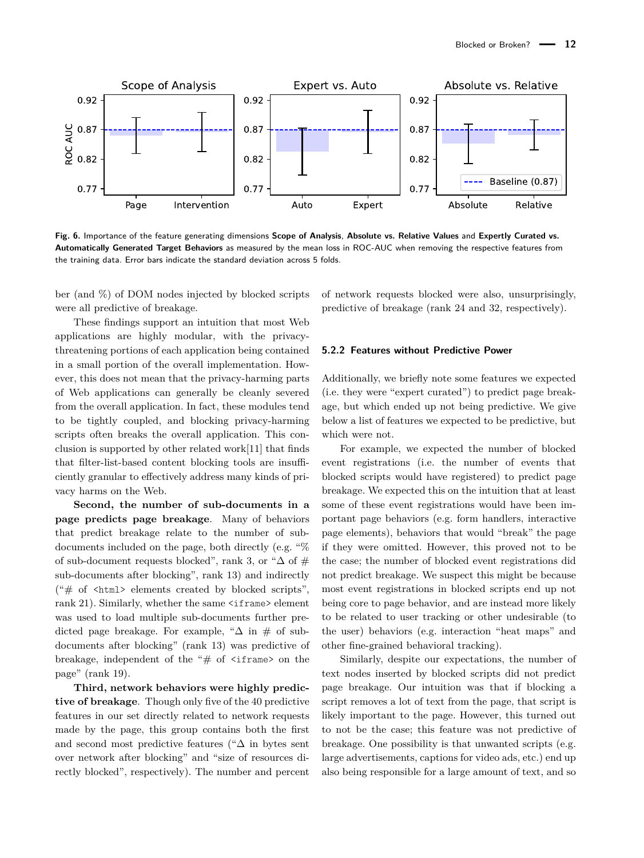<span id="page-11-0"></span>

**Fig. 6.** Importance of the feature generating dimensions **[Scope of Analysis](#page-6-0)**, **[Absolute vs. Relative Values](#page-7-2)** and **[Expertly Curated vs.](#page-7-1) [Automatically Generated Target Behaviors](#page-7-1)** as measured by the mean loss in ROC-AUC when removing the respective features from the training data. Error bars indicate the standard deviation across 5 folds.

ber (and %) of DOM nodes injected by blocked scripts were all predictive of breakage.

These findings support an intuition that most Web applications are highly modular, with the privacythreatening portions of each application being contained in a small portion of the overall implementation. However, this does not mean that the privacy-harming parts of Web applications can generally be cleanly severed from the overall application. In fact, these modules tend to be tightly coupled, and blocking privacy-harming scripts often breaks the overall application. This conclusion is supported by other related work[\[11\]](#page-16-10) that finds that filter-list-based content blocking tools are insufficiently granular to effectively address many kinds of privacy harms on the Web.

**Second, the number of sub-documents in a page predicts page breakage**. Many of behaviors that predict breakage relate to the number of subdocuments included on the page, both directly (e.g. "% of sub-document requests blocked", rank 3, or " $\Delta$  of # sub-documents after blocking", rank 13) and indirectly (" $\#$  of  $\text{thm}$ ) elements created by blocked scripts", rank 21). Similarly, whether the same  $\langle$ iframe> element was used to load multiple sub-documents further predicted page breakage. For example, " $\Delta$  in # of subdocuments after blocking" (rank 13) was predictive of breakage, independent of the " $#$  of  $\leq$  if rame> on the page" (rank 19).

**Third, network behaviors were highly predictive of breakage**. Though only five of the 40 predictive features in our set directly related to network requests made by the page, this group contains both the first and second most predictive features ("∆ in bytes sent over network after blocking" and "size of resources directly blocked", respectively). The number and percent of network requests blocked were also, unsurprisingly, predictive of breakage (rank 24 and 32, respectively).

#### **5.2.2 Features without Predictive Power**

Additionally, we briefly note some features we expected (i.e. they were "expert curated") to predict page breakage, but which ended up not being predictive. We give below a list of features we expected to be predictive, but which were not.

For example, we expected the number of blocked event registrations (i.e. the number of events that blocked scripts would have registered) to predict page breakage. We expected this on the intuition that at least some of these event registrations would have been important page behaviors (e.g. form handlers, interactive page elements), behaviors that would "break" the page if they were omitted. However, this proved not to be the case; the number of blocked event registrations did not predict breakage. We suspect this might be because most event registrations in blocked scripts end up not being core to page behavior, and are instead more likely to be related to user tracking or other undesirable (to the user) behaviors (e.g. interaction "heat maps" and other fine-grained behavioral tracking).

Similarly, despite our expectations, the number of text nodes inserted by blocked scripts did not predict page breakage. Our intuition was that if blocking a script removes a lot of text from the page, that script is likely important to the page. However, this turned out to not be the case; this feature was not predictive of breakage. One possibility is that unwanted scripts (e.g. large advertisements, captions for video ads, etc.) end up also being responsible for a large amount of text, and so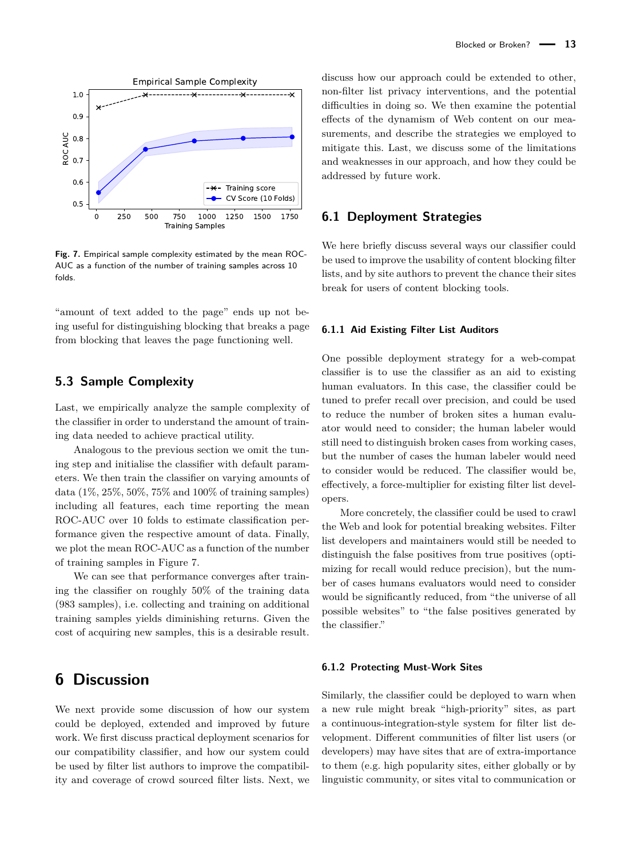<span id="page-12-1"></span>

**Fig. 7.** Empirical sample complexity estimated by the mean ROC-AUC as a function of the number of training samples across 10 folds.

"amount of text added to the page" ends up not being useful for distinguishing blocking that breaks a page from blocking that leaves the page functioning well.

### <span id="page-12-0"></span>**5.3 Sample Complexity**

Last, we empirically analyze the sample complexity of the classifier in order to understand the amount of training data needed to achieve practical utility.

Analogous to the previous section we omit the tuning step and initialise the classifier with default parameters. We then train the classifier on varying amounts of data (1%, 25%, 50%, 75% and 100% of training samples) including all features, each time reporting the mean ROC-AUC over 10 folds to estimate classification performance given the respective amount of data. Finally, we plot the mean ROC-AUC as a function of the number of training samples in Figure [7.](#page-12-1)

We can see that performance converges after training the classifier on roughly 50% of the training data (983 samples), i.e. collecting and training on additional training samples yields diminishing returns. Given the cost of acquiring new samples, this is a desirable result.

## **6 Discussion**

We next provide some discussion of how our system could be deployed, extended and improved by future work. We first discuss practical deployment scenarios for our compatibility classifier, and how our system could be used by filter list authors to improve the compatibility and coverage of crowd sourced filter lists. Next, we discuss how our approach could be extended to other, non-filter list privacy interventions, and the potential difficulties in doing so. We then examine the potential effects of the dynamism of Web content on our measurements, and describe the strategies we employed to mitigate this. Last, we discuss some of the limitations and weaknesses in our approach, and how they could be addressed by future work.

#### **6.1 Deployment Strategies**

We here briefly discuss several ways our classifier could be used to improve the usability of content blocking filter lists, and by site authors to prevent the chance their sites break for users of content blocking tools.

#### **6.1.1 Aid Existing Filter List Auditors**

One possible deployment strategy for a web-compat classifier is to use the classifier as an aid to existing human evaluators. In this case, the classifier could be tuned to prefer recall over precision, and could be used to reduce the number of broken sites a human evaluator would need to consider; the human labeler would still need to distinguish broken cases from working cases, but the number of cases the human labeler would need to consider would be reduced. The classifier would be, effectively, a force-multiplier for existing filter list developers.

More concretely, the classifier could be used to crawl the Web and look for potential breaking websites. Filter list developers and maintainers would still be needed to distinguish the false positives from true positives (optimizing for recall would reduce precision), but the number of cases humans evaluators would need to consider would be significantly reduced, from "the universe of all possible websites" to "the false positives generated by the classifier."

#### **6.1.2 Protecting Must-Work Sites**

Similarly, the classifier could be deployed to warn when a new rule might break "high-priority" sites, as part a continuous-integration-style system for filter list development. Different communities of filter list users (or developers) may have sites that are of extra-importance to them (e.g. high popularity sites, either globally or by linguistic community, or sites vital to communication or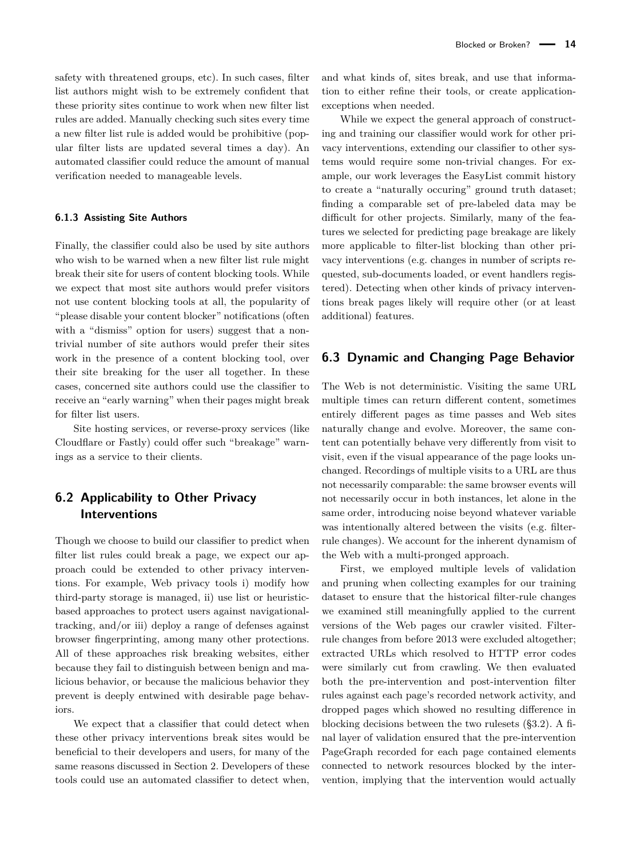safety with threatened groups, etc). In such cases, filter list authors might wish to be extremely confident that these priority sites continue to work when new filter list rules are added. Manually checking such sites every time a new filter list rule is added would be prohibitive (popular filter lists are updated several times a day). An automated classifier could reduce the amount of manual verification needed to manageable levels.

#### **6.1.3 Assisting Site Authors**

Finally, the classifier could also be used by site authors who wish to be warned when a new filter list rule might break their site for users of content blocking tools. While we expect that most site authors would prefer visitors not use content blocking tools at all, the popularity of "please disable your content blocker" notifications (often with a "dismiss" option for users) suggest that a nontrivial number of site authors would prefer their sites work in the presence of a content blocking tool, over their site breaking for the user all together. In these cases, concerned site authors could use the classifier to receive an "early warning" when their pages might break for filter list users.

Site hosting services, or reverse-proxy services (like Cloudflare or Fastly) could offer such "breakage" warnings as a service to their clients.

## **6.2 Applicability to Other Privacy Interventions**

Though we choose to build our classifier to predict when filter list rules could break a page, we expect our approach could be extended to other privacy interventions. For example, Web privacy tools i) modify how third-party storage is managed, ii) use list or heuristicbased approaches to protect users against navigationaltracking, and/or iii) deploy a range of defenses against browser fingerprinting, among many other protections. All of these approaches risk breaking websites, either because they fail to distinguish between benign and malicious behavior, or because the malicious behavior they prevent is deeply entwined with desirable page behaviors.

We expect that a classifier that could detect when these other privacy interventions break sites would be beneficial to their developers and users, for many of the same reasons discussed in Section [2.](#page-1-0) Developers of these tools could use an automated classifier to detect when,

and what kinds of, sites break, and use that information to either refine their tools, or create applicationexceptions when needed.

While we expect the general approach of constructing and training our classifier would work for other privacy interventions, extending our classifier to other systems would require some non-trivial changes. For example, our work leverages the EasyList commit history to create a "naturally occuring" ground truth dataset; finding a comparable set of pre-labeled data may be difficult for other projects. Similarly, many of the features we selected for predicting page breakage are likely more applicable to filter-list blocking than other privacy interventions (e.g. changes in number of scripts requested, sub-documents loaded, or event handlers registered). Detecting when other kinds of privacy interventions break pages likely will require other (or at least additional) features.

### **6.3 Dynamic and Changing Page Behavior**

The Web is not deterministic. Visiting the same URL multiple times can return different content, sometimes entirely different pages as time passes and Web sites naturally change and evolve. Moreover, the same content can potentially behave very differently from visit to visit, even if the visual appearance of the page looks unchanged. Recordings of multiple visits to a URL are thus not necessarily comparable: the same browser events will not necessarily occur in both instances, let alone in the same order, introducing noise beyond whatever variable was intentionally altered between the visits (e.g. filterrule changes). We account for the inherent dynamism of the Web with a multi-pronged approach.

First, we employed multiple levels of validation and pruning when collecting examples for our training dataset to ensure that the historical filter-rule changes we examined still meaningfully applied to the current versions of the Web pages our crawler visited. Filterrule changes from before 2013 were excluded altogether; extracted URLs which resolved to HTTP error codes were similarly cut from crawling. We then evaluated both the pre-intervention and post-intervention filter rules against each page's recorded network activity, and dropped pages which showed no resulting difference in blocking decisions between the two rulesets ([§3.2\)](#page-4-0). A final layer of validation ensured that the pre-intervention PageGraph recorded for each page contained elements connected to network resources blocked by the intervention, implying that the intervention would actually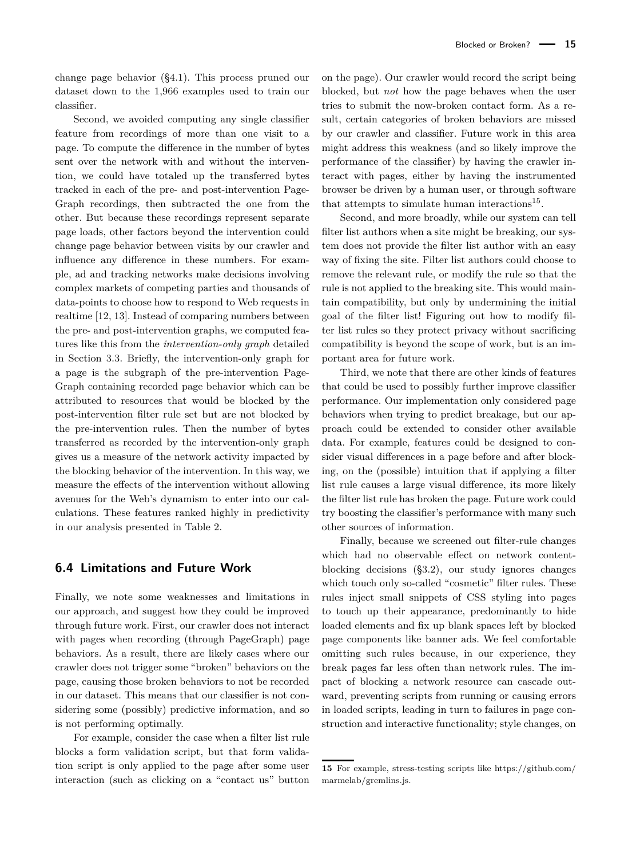change page behavior ([§4.1\)](#page-6-1). This process pruned our dataset down to the 1,966 examples used to train our classifier.

Second, we avoided computing any single classifier feature from recordings of more than one visit to a page. To compute the difference in the number of bytes sent over the network with and without the intervention, we could have totaled up the transferred bytes tracked in each of the pre- and post-intervention Page-Graph recordings, then subtracted the one from the other. But because these recordings represent separate page loads, other factors beyond the intervention could change page behavior between visits by our crawler and influence any difference in these numbers. For example, ad and tracking networks make decisions involving complex markets of competing parties and thousands of data-points to choose how to respond to Web requests in realtime [\[12,](#page-16-11) [13\]](#page-16-12). Instead of comparing numbers between the pre- and post-intervention graphs, we computed features like this from the *intervention-only graph* detailed in Section [3.3.](#page-5-0) Briefly, the intervention-only graph for a page is the subgraph of the pre-intervention Page-Graph containing recorded page behavior which can be attributed to resources that would be blocked by the post-intervention filter rule set but are not blocked by the pre-intervention rules. Then the number of bytes transferred as recorded by the intervention-only graph gives us a measure of the network activity impacted by the blocking behavior of the intervention. In this way, we measure the effects of the intervention without allowing avenues for the Web's dynamism to enter into our calculations. These features ranked highly in predictivity in our analysis presented in Table [2.](#page-10-0)

#### **6.4 Limitations and Future Work**

Finally, we note some weaknesses and limitations in our approach, and suggest how they could be improved through future work. First, our crawler does not interact with pages when recording (through PageGraph) page behaviors. As a result, there are likely cases where our crawler does not trigger some "broken" behaviors on the page, causing those broken behaviors to not be recorded in our dataset. This means that our classifier is not considering some (possibly) predictive information, and so is not performing optimally.

For example, consider the case when a filter list rule blocks a form validation script, but that form validation script is only applied to the page after some user interaction (such as clicking on a "contact us" button

on the page). Our crawler would record the script being blocked, but *not* how the page behaves when the user tries to submit the now-broken contact form. As a result, certain categories of broken behaviors are missed by our crawler and classifier. Future work in this area might address this weakness (and so likely improve the performance of the classifier) by having the crawler interact with pages, either by having the instrumented browser be driven by a human user, or through software that attempts to simulate human interactions<sup>[15](#page-0-0)</sup>.

Second, and more broadly, while our system can tell filter list authors when a site might be breaking, our system does not provide the filter list author with an easy way of fixing the site. Filter list authors could choose to remove the relevant rule, or modify the rule so that the rule is not applied to the breaking site. This would maintain compatibility, but only by undermining the initial goal of the filter list! Figuring out how to modify filter list rules so they protect privacy without sacrificing compatibility is beyond the scope of work, but is an important area for future work.

Third, we note that there are other kinds of features that could be used to possibly further improve classifier performance. Our implementation only considered page behaviors when trying to predict breakage, but our approach could be extended to consider other available data. For example, features could be designed to consider visual differences in a page before and after blocking, on the (possible) intuition that if applying a filter list rule causes a large visual difference, its more likely the filter list rule has broken the page. Future work could try boosting the classifier's performance with many such other sources of information.

Finally, because we screened out filter-rule changes which had no observable effect on network contentblocking decisions ([§3.2\)](#page-4-0), our study ignores changes which touch only so-called "cosmetic" filter rules. These rules inject small snippets of CSS styling into pages to touch up their appearance, predominantly to hide loaded elements and fix up blank spaces left by blocked page components like banner ads. We feel comfortable omitting such rules because, in our experience, they break pages far less often than network rules. The impact of blocking a network resource can cascade outward, preventing scripts from running or causing errors in loaded scripts, leading in turn to failures in page construction and interactive functionality; style changes, on

**<sup>15</sup>** For example, stress-testing scripts like [https://github.com/](https://github.com/marmelab/gremlins.js) [marmelab/gremlins.js.](https://github.com/marmelab/gremlins.js)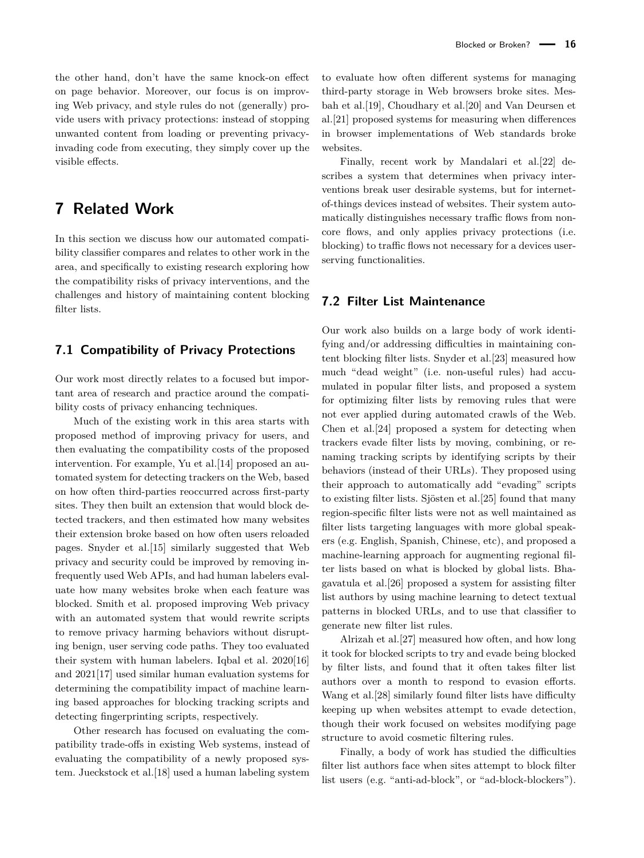the other hand, don't have the same knock-on effect on page behavior. Moreover, our focus is on improving Web privacy, and style rules do not (generally) provide users with privacy protections: instead of stopping unwanted content from loading or preventing privacyinvading code from executing, they simply cover up the visible effects.

## **7 Related Work**

In this section we discuss how our automated compatibility classifier compares and relates to other work in the area, and specifically to existing research exploring how the compatibility risks of privacy interventions, and the challenges and history of maintaining content blocking filter lists.

### **7.1 Compatibility of Privacy Protections**

Our work most directly relates to a focused but important area of research and practice around the compatibility costs of privacy enhancing techniques.

Much of the existing work in this area starts with proposed method of improving privacy for users, and then evaluating the compatibility costs of the proposed intervention. For example, Yu et al.[\[14\]](#page-16-13) proposed an automated system for detecting trackers on the Web, based on how often third-parties reoccurred across first-party sites. They then built an extension that would block detected trackers, and then estimated how many websites their extension broke based on how often users reloaded pages. Snyder et al.[\[15\]](#page-16-14) similarly suggested that Web privacy and security could be improved by removing infrequently used Web APIs, and had human labelers evaluate how many websites broke when each feature was blocked. Smith et al. proposed improving Web privacy with an automated system that would rewrite scripts to remove privacy harming behaviors without disrupting benign, user serving code paths. They too evaluated their system with human labelers. Iqbal et al. 2020[\[16\]](#page-16-15) and 2021[\[17\]](#page-16-16) used similar human evaluation systems for determining the compatibility impact of machine learning based approaches for blocking tracking scripts and detecting fingerprinting scripts, respectively.

Other research has focused on evaluating the compatibility trade-offs in existing Web systems, instead of evaluating the compatibility of a newly proposed system. Jueckstock et al.[\[18\]](#page-16-17) used a human labeling system to evaluate how often different systems for managing third-party storage in Web browsers broke sites. Mesbah et al.[\[19\]](#page-17-0), Choudhary et al.[\[20\]](#page-17-1) and Van Deursen et al.[\[21\]](#page-17-2) proposed systems for measuring when differences in browser implementations of Web standards broke websites.

Finally, recent work by Mandalari et al.[\[22\]](#page-17-3) describes a system that determines when privacy interventions break user desirable systems, but for internetof-things devices instead of websites. Their system automatically distinguishes necessary traffic flows from noncore flows, and only applies privacy protections (i.e. blocking) to traffic flows not necessary for a devices userserving functionalities.

### **7.2 Filter List Maintenance**

Our work also builds on a large body of work identifying and/or addressing difficulties in maintaining content blocking filter lists. Snyder et al.[\[23\]](#page-17-4) measured how much "dead weight" (i.e. non-useful rules) had accumulated in popular filter lists, and proposed a system for optimizing filter lists by removing rules that were not ever applied during automated crawls of the Web. Chen et al.[\[24\]](#page-17-5) proposed a system for detecting when trackers evade filter lists by moving, combining, or renaming tracking scripts by identifying scripts by their behaviors (instead of their URLs). They proposed using their approach to automatically add "evading" scripts to existing filter lists. Sjösten et al.[\[25\]](#page-17-6) found that many region-specific filter lists were not as well maintained as filter lists targeting languages with more global speakers (e.g. English, Spanish, Chinese, etc), and proposed a machine-learning approach for augmenting regional filter lists based on what is blocked by global lists. Bhagavatula et al.[\[26\]](#page-17-7) proposed a system for assisting filter list authors by using machine learning to detect textual patterns in blocked URLs, and to use that classifier to generate new filter list rules.

Alrizah et al.[\[27\]](#page-17-8) measured how often, and how long it took for blocked scripts to try and evade being blocked by filter lists, and found that it often takes filter list authors over a month to respond to evasion efforts. Wang et al.[\[28\]](#page-17-9) similarly found filter lists have difficulty keeping up when websites attempt to evade detection, though their work focused on websites modifying page structure to avoid cosmetic filtering rules.

Finally, a body of work has studied the difficulties filter list authors face when sites attempt to block filter list users (e.g. "anti-ad-block", or "ad-block-blockers").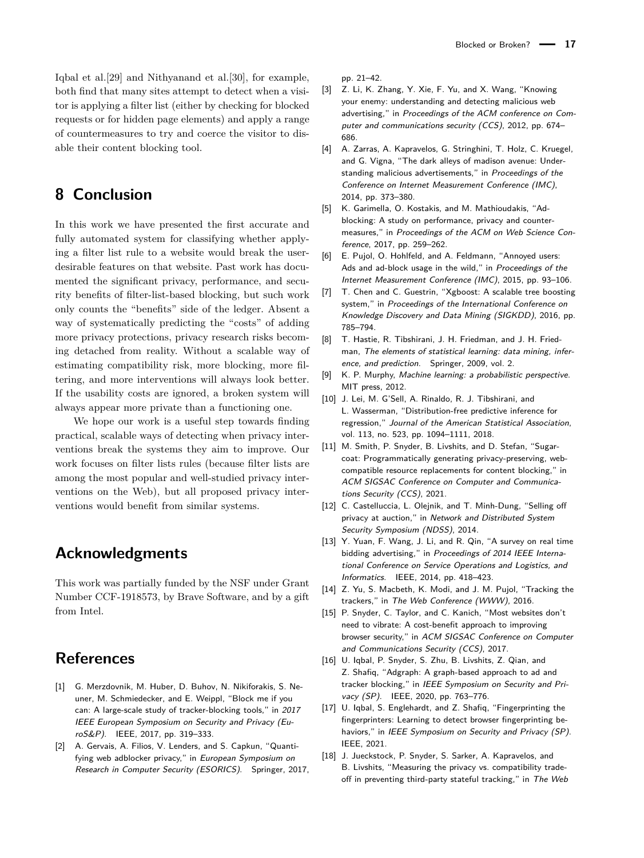Iqbal et al.[\[29\]](#page-17-10) and Nithyanand et al.[\[30\]](#page-17-11), for example, both find that many sites attempt to detect when a visitor is applying a filter list (either by checking for blocked requests or for hidden page elements) and apply a range of countermeasures to try and coerce the visitor to disable their content blocking tool.

## **8 Conclusion**

In this work we have presented the first accurate and fully automated system for classifying whether applying a filter list rule to a website would break the userdesirable features on that website. Past work has documented the significant privacy, performance, and security benefits of filter-list-based blocking, but such work only counts the "benefits" side of the ledger. Absent a way of systematically predicting the "costs" of adding more privacy protections, privacy research risks becoming detached from reality. Without a scalable way of estimating compatibility risk, more blocking, more filtering, and more interventions will always look better. If the usability costs are ignored, a broken system will always appear more private than a functioning one.

We hope our work is a useful step towards finding practical, scalable ways of detecting when privacy interventions break the systems they aim to improve. Our work focuses on filter lists rules (because filter lists are among the most popular and well-studied privacy interventions on the Web), but all proposed privacy interventions would benefit from similar systems.

## **Acknowledgments**

This work was partially funded by the NSF under Grant Number CCF-1918573, by Brave Software, and by a gift from Intel.

## **References**

- <span id="page-16-0"></span>[1] G. Merzdovnik, M. Huber, D. Buhov, N. Nikiforakis, S. Neuner, M. Schmiedecker, and E. Weippl, "Block me if you can: A large-scale study of tracker-blocking tools," in 2017 IEEE European Symposium on Security and Privacy (EuroS&P). IEEE, 2017, pp. 319–333.
- <span id="page-16-1"></span>[2] A. Gervais, A. Filios, V. Lenders, and S. Capkun, "Quantifying web adblocker privacy," in European Symposium on Research in Computer Security (ESORICS). Springer, 2017,

pp. 21–42.

- <span id="page-16-2"></span>[3] Z. Li, K. Zhang, Y. Xie, F. Yu, and X. Wang, "Knowing your enemy: understanding and detecting malicious web advertising," in Proceedings of the ACM conference on Computer and communications security (CCS), 2012, pp. 674– 686.
- <span id="page-16-3"></span>[4] A. Zarras, A. Kapravelos, G. Stringhini, T. Holz, C. Kruegel, and G. Vigna, "The dark alleys of madison avenue: Understanding malicious advertisements," in Proceedings of the Conference on Internet Measurement Conference (IMC), 2014, pp. 373–380.
- <span id="page-16-4"></span>[5] K. Garimella, O. Kostakis, and M. Mathioudakis, "Adblocking: A study on performance, privacy and countermeasures," in Proceedings of the ACM on Web Science Conference, 2017, pp. 259–262.
- <span id="page-16-5"></span>[6] E. Pujol, O. Hohlfeld, and A. Feldmann, "Annoyed users: Ads and ad-block usage in the wild," in Proceedings of the Internet Measurement Conference (IMC), 2015, pp. 93–106.
- <span id="page-16-6"></span>[7] T. Chen and C. Guestrin, "Xgboost: A scalable tree boosting system," in Proceedings of the International Conference on Knowledge Discovery and Data Mining (SIGKDD), 2016, pp. 785–794.
- <span id="page-16-7"></span>[8] T. Hastie, R. Tibshirani, J. H. Friedman, and J. H. Friedman, The elements of statistical learning: data mining, inference, and prediction. Springer, 2009, vol. 2.
- <span id="page-16-8"></span>[9] K. P. Murphy, Machine learning: a probabilistic perspective. MIT press, 2012.
- <span id="page-16-9"></span>[10] J. Lei, M. G'Sell, A. Rinaldo, R. J. Tibshirani, and L. Wasserman, "Distribution-free predictive inference for regression," Journal of the American Statistical Association, vol. 113, no. 523, pp. 1094–1111, 2018.
- <span id="page-16-10"></span>[11] M. Smith, P. Snyder, B. Livshits, and D. Stefan, "Sugarcoat: Programmatically generating privacy-preserving, webcompatible resource replacements for content blocking," in ACM SIGSAC Conference on Computer and Communications Security (CCS), 2021.
- <span id="page-16-11"></span>[12] C. Castelluccia, L. Olejnik, and T. Minh-Dung, "Selling off privacy at auction," in Network and Distributed System Security Symposium (NDSS), 2014.
- <span id="page-16-12"></span>[13] Y. Yuan, F. Wang, J. Li, and R. Qin, "A survey on real time bidding advertising," in Proceedings of 2014 IEEE International Conference on Service Operations and Logistics, and Informatics. IEEE, 2014, pp. 418–423.
- <span id="page-16-13"></span>[14] Z. Yu, S. Macbeth, K. Modi, and J. M. Pujol, "Tracking the trackers," in The Web Conference (WWW), 2016.
- <span id="page-16-14"></span>[15] P. Snyder, C. Taylor, and C. Kanich, "Most websites don't need to vibrate: A cost-benefit approach to improving browser security," in ACM SIGSAC Conference on Computer and Communications Security (CCS), 2017.
- <span id="page-16-15"></span>[16] U. Iqbal, P. Snyder, S. Zhu, B. Livshits, Z. Qian, and Z. Shafiq, "Adgraph: A graph-based approach to ad and tracker blocking," in IEEE Symposium on Security and Privacy (SP). IEEE, 2020, pp. 763–776.
- <span id="page-16-16"></span>[17] U. Iqbal, S. Englehardt, and Z. Shafiq, "Fingerprinting the fingerprinters: Learning to detect browser fingerprinting behaviors," in IEEE Symposium on Security and Privacy (SP). IEEE, 2021.
- <span id="page-16-17"></span>[18] J. Jueckstock, P. Snyder, S. Sarker, A. Kapravelos, and B. Livshits, "Measuring the privacy vs. compatibility tradeoff in preventing third-party stateful tracking," in The Web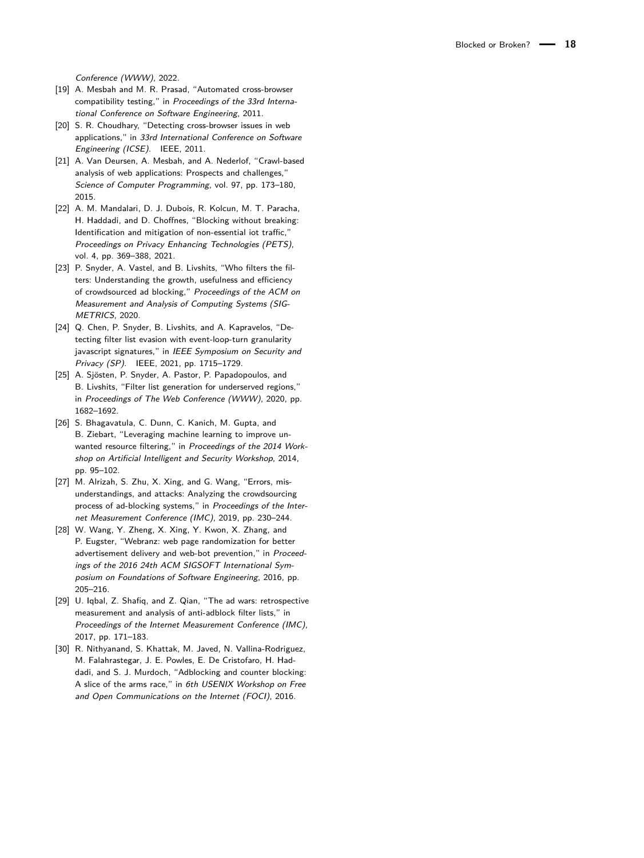Conference (WWW), 2022.

- <span id="page-17-0"></span>[19] A. Mesbah and M. R. Prasad. "Automated cross-browser compatibility testing," in Proceedings of the 33rd International Conference on Software Engineering, 2011.
- <span id="page-17-1"></span>[20] S. R. Choudhary, "Detecting cross-browser issues in web applications," in 33rd International Conference on Software Engineering (ICSE). IEEE, 2011.
- <span id="page-17-2"></span>[21] A. Van Deursen, A. Mesbah, and A. Nederlof, "Crawl-based analysis of web applications: Prospects and challenges," Science of Computer Programming, vol. 97, pp. 173–180, 2015.
- <span id="page-17-3"></span>[22] A. M. Mandalari, D. J. Dubois, R. Kolcun, M. T. Paracha, H. Haddadi, and D. Choffnes, "Blocking without breaking: Identification and mitigation of non-essential iot traffic," Proceedings on Privacy Enhancing Technologies (PETS), vol. 4, pp. 369–388, 2021.
- <span id="page-17-4"></span>[23] P. Snyder, A. Vastel, and B. Livshits, "Who filters the filters: Understanding the growth, usefulness and efficiency of crowdsourced ad blocking," Proceedings of the ACM on Measurement and Analysis of Computing Systems (SIG-METRICS, 2020.
- <span id="page-17-5"></span>[24] Q. Chen, P. Snyder, B. Livshits, and A. Kapravelos, "Detecting filter list evasion with event-loop-turn granularity javascript signatures," in IEEE Symposium on Security and Privacy (SP). IEEE, 2021, pp. 1715–1729.
- <span id="page-17-6"></span>[25] A. Sjösten, P. Snyder, A. Pastor, P. Papadopoulos, and B. Livshits, "Filter list generation for underserved regions," in Proceedings of The Web Conference (WWW), 2020, pp. 1682–1692.
- <span id="page-17-7"></span>[26] S. Bhagavatula, C. Dunn, C. Kanich, M. Gupta, and B. Ziebart, "Leveraging machine learning to improve unwanted resource filtering," in Proceedings of the 2014 Workshop on Artificial Intelligent and Security Workshop, 2014, pp. 95–102.
- <span id="page-17-8"></span>[27] M. Alrizah, S. Zhu, X. Xing, and G. Wang, "Errors, misunderstandings, and attacks: Analyzing the crowdsourcing process of ad-blocking systems," in Proceedings of the Internet Measurement Conference (IMC), 2019, pp. 230–244.
- <span id="page-17-9"></span>[28] W. Wang, Y. Zheng, X. Xing, Y. Kwon, X. Zhang, and P. Eugster, "Webranz: web page randomization for better advertisement delivery and web-bot prevention," in Proceedings of the 2016 24th ACM SIGSOFT International Symposium on Foundations of Software Engineering, 2016, pp. 205–216.
- <span id="page-17-10"></span>[29] U. Iqbal, Z. Shafiq, and Z. Qian, "The ad wars: retrospective measurement and analysis of anti-adblock filter lists," in Proceedings of the Internet Measurement Conference (IMC), 2017, pp. 171–183.
- <span id="page-17-11"></span>[30] R. Nithyanand, S. Khattak, M. Javed, N. Vallina-Rodriguez, M. Falahrastegar, J. E. Powles, E. De Cristofaro, H. Haddadi, and S. J. Murdoch, "Adblocking and counter blocking: A slice of the arms race," in 6th USENIX Workshop on Free and Open Communications on the Internet (FOCI), 2016.